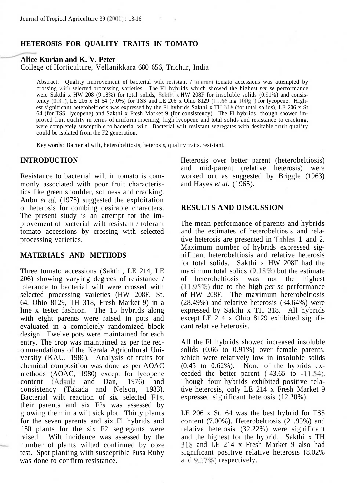# **HETEROSIS FOR QUALITY TRAITS IN TOMATO**

### **Alice Kurian and K. V. Peter**

College of Horticulture, Vellanikkara 680 656, Trichur, India

Abstract: Quality improvement of bacterial wilt resistant / tolerant tomato accessions was attempted by crossing with selected processing varieties. The Fl hybrids which showed the highest *per se* performance were Sakthi x HW 208 (9.18%) for total solids, Sakthi x HW 208F for insoluble solids (0.91%) and consistency  $(0.31)$ , LE 206 x St 64 (7.0%) for TSS and LE 206 x Ohio 8129 (11.66 mg  $100g^{-1}$ ) for lycopene. Highest significant heterobeltiosis was expressed by the Fl hybrids Sakthi x TH 318 (for total solids), LE 206 x St 64 (for TSS, lycopene) and Sakthi x Fresh Market 9 (for consistency). The Fl hybrids, though showed improved fruit quality in terms of uniform ripening, high lycopene and total solids and resistance to cracking, were completely susceptible to bacterial wilt. Bacterial wilt resistant segregates with desirable fruit quality could be isolated from the F2 generation.

Key words: Bacterial wilt, heterobeltiosis, heterosis, quality traits, resistant.

## **INTRODUCTION**

Resistance to bacterial wilt in tomato is commonly associated with poor fruit characteristics like green shoulder, softness and cracking. Anbu *et al.* (1976) suggested the exploitation of heterosis for combing desirable characters. The present study is an attempt for the improvement of bacterial wilt resistant / tolerant tomato accessions by crossing with selected processing varieties.

### **MATERIALS AND METHODS**

Three tomato accessions (Sakthi, LE 214, LE 206) showing varying degrees of resistance / tolerance to bacterial wilt were crossed with selected processing varieties (HW 208F, St. 64, Ohio 8129, TH 318, Fresh Market 9) in a line x tester fashion. The 15 hybrids along with eight parents were raised in pots and evaluated in a completely randomized block design. Twelve pots were maintained for each entry. The crop was maintained as per the recommendations of the Kerala Agricultural University (KAU, 1986). Analysis of fruits for chemical composition was done as per AOAC methods (AOAC, 1980) except for lycopene content (Adsule and Dan, 1976) and consistency (Takada and Nelson, 1983). Bacterial wilt reaction of six selected Fls, their parents and six F2s was assessed by growing them in a wilt sick plot. Thirty plants for the seven parents and six Fl hybrids and 150 plants for the six F2 segregants were raised. Wilt incidence was assessed by the number of plants wilted confirmed by ooze test. Spot planting with susceptible Pusa Ruby was done to confirm resistance.

Heterosis over better parent (heterobeltiosis) and mid-parent (relative heterosis) were worked out as suggested by Briggle (1963) and Hayes *et al.* (1965).

## **RESULTS AND DISCUSSION**

The mean performance of parents and hybrids and the estimates of heterobeltiosis and relative heterosis are presented in Tables 1 and 2. Maximum number of hybrids expressed significant heterobeltiosis and relative heterosis for total solids. Sakthi x HW 208F had the maximum total solids (9.18%) but the estimate of heterobeltiosis was not the highest (11.95%) due to the high *per se* performance of HW 208F. The maximum heterobeltiosis (28.49%) and relative heterosis (34.64%) were expressed by Sakthi x TH 318. All hybrids except LE 214 x Ohio 8129 exhibited significant relative heterosis.

All the Fl hybrids showed increased insoluble solids (0.66 to 0.91%) over female parents, which were relatively low in insoluble solids  $(0.45 \text{ to } 0.62\%)$ . None of the hybrids exceeded the better parent (-43.65 to -11.54). Though four hybrids exhibited positive relative heterosis, only LE 214 x Fresh Market 9 expressed significant heterosis (12.20%).

LE 206 x St. 64 was the best hybrid for TSS content (7.00%). Heterobeltiosis (21.95%) and relative heterosis (32.22%) were significant and the highest for the hybrid. Sakthi x TH 318 and LE 214 x Fresh Market 9 also had significant positive relative heterosis (8.02% and 9.17%) respectively.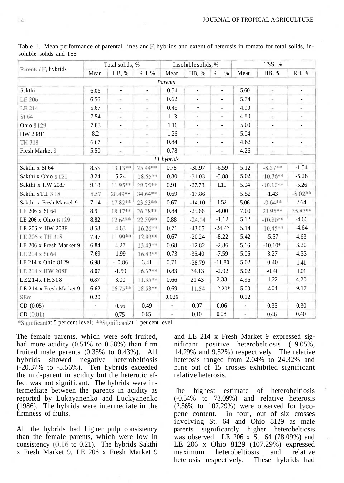|                         | Total solids, % |                          |                          | Insoluble solids, % |                          |                          | TSS, %                   |                          |                          |
|-------------------------|-----------------|--------------------------|--------------------------|---------------------|--------------------------|--------------------------|--------------------------|--------------------------|--------------------------|
| Parents / $F_1$ hybrids | Mean            | HB, %                    | RH, %                    | Mean                | HB, %                    | RH, %                    | Mean                     | HB, %                    | RH, %                    |
|                         |                 |                          |                          | Parents             |                          |                          |                          |                          |                          |
| Sakthi                  | 6.06            | $\overline{\phantom{a}}$ | $\overline{\phantom{a}}$ | 0.54                | -                        | $\overline{\phantom{0}}$ | 5.60                     | $\overline{\phantom{a}}$ | ٠                        |
| LE 206                  | 6.56            | $\sim$                   |                          | 0.62                | ÷,                       | $\overline{\phantom{0}}$ | 5.74                     | $\sim$                   | $\overline{\phantom{a}}$ |
| LE 214                  | 5.67            | $\overline{\phantom{a}}$ | $\overline{\phantom{a}}$ | 0.45                | ٠                        | $\overline{\phantom{a}}$ | 4.90                     | ÷                        | $\overline{\phantom{a}}$ |
| St 64                   | 7.54            | $\sim$                   | $\sim$                   | 1.13                | ÷.                       | $\blacksquare$           | 4.80                     | ÷.                       | $\overline{\phantom{a}}$ |
| Ohio 8129               | 7.83            | $\overline{\phantom{a}}$ | $\leq$                   | 1.16                | $\overline{\phantom{m}}$ | $\overline{\phantom{a}}$ | 5.00                     | ٠                        | $\overline{\phantom{m}}$ |
| <b>HW 208F</b>          | 8.2             | $\overline{\phantom{a}}$ | $\sim$                   | 1.26                | $\sim$ :                 | $\overline{\phantom{a}}$ | 5.04                     | $\overline{\phantom{a}}$ | $\overline{\phantom{a}}$ |
| TH 318                  | 6.67            | $\overline{\phantom{a}}$ | $\sim$                   | 0.84                | $\overline{\phantom{m}}$ | $\frac{1}{2}$            | 4.62                     | $\overline{\phantom{a}}$ | ٠                        |
| Fresh Market 9          | 5.50            | $\sim$                   | $\overline{\phantom{a}}$ | 0.78                | $\overline{\phantom{a}}$ | $\overline{\phantom{0}}$ | 4.26                     | $\sim$                   |                          |
|                         |                 |                          |                          | FI hybrids          |                          |                          |                          |                          |                          |
| Sakthi x St 64          | 8.53            | 13.13**                  | 25.44**                  | 0.78                | $-30.97$                 | $-6.59$                  | 5.12                     | $-8.57**$                | $-1.54$                  |
| Sakthi x Ohio 8121      | 8.24            | 5.24                     | 18.65**                  | 0.80                | $-31.03$                 | $-5.88$                  | 5.02                     | $-10.36**$               | $-5.28$                  |
| Sakthi x HW 208F        | 9.18            | 11.95**                  | 28.75**                  | 0.91                | $-27.78$                 | 1.11                     | 5.04                     | $-10.10**$               | $-5.26$                  |
| Sakthi xTH 318          | 8.57            | 28.49**                  | 34.64**                  | 0.69                | $-17.86$                 |                          | 5.52                     | $-1.43$                  | $-8.02**$                |
| Sakthi x Fresh Markel 9 | 7.14            | $17.82**$                | $23.53**$                | 0.67                | $-14.10$                 | 1.52                     | 5.06                     | $-9.64**$                | 2.64                     |
| LE 206 x St 64          | 8.91            | 18.17**                  | 26.38**                  | 0.84                | $-25.66$                 | $-4.00$                  | 7.00                     | 21.95**                  | 35.83**                  |
| LE 206 x Ohio 8 129     | 8.82            | $12.64**$                | 22.59**                  | 0.88                | $-24.14$                 | $-1.12$                  | 5.12                     | $-10.80**$               | $-4.66$                  |
| LE 206 x HW 208F        | 8.58            | 4.63                     | $16.26**$                | 0.71                | $-43.65$                 | $-24.47$                 | 5.14                     | $-10.45**$               | $-4.64$                  |
| LE 206 x TH 318         | 7.47            | 11.99**                  | 12.93**                  | 0.67                | $-20.24$                 | $-8.22$                  | 5.42                     | $-5.57$                  | 4.63                     |
| LE 206 x Fresh Market 9 | 6.84            | 4.27                     | $13.43**$                | 0.68                | $-12.82$                 | $-2.86$                  | 5.16                     | $-10.10*$                | 3.20                     |
| LE 214 x St 64          | 7.69            | 1.99                     | $16.43**$                | 0.73                | $-35.40$                 | $-7.59$                  | 5.06                     | 3.27                     | 4.33                     |
| LE 214 x Ohio 8129      | 6.98            | $-10.86$                 | 3.41                     | 0.71                | $-38.79$                 | $-11.80$                 | 5.02                     | 0.40                     | 1.41                     |
| LE 214 x HW 208F        | 8.07            | $-1.59$                  | 16.37**                  | 0.83                | 34.13                    | $-2.92$                  | 5.02                     | $-0.40$                  | 1.01                     |
| LE214xTH318             | 6.87            | 3.00                     | $11.35**$                | 0.66                | 21.43                    | 2.33                     | 4.96                     | 1.22                     | 4.20                     |
| LE 214 x Fresh Market 9 | 6.62            | 16.75**                  | 18.53**                  | 0.69                | 11.54                    | $12.20*$                 | 5.00                     | 2.04                     | 9.17                     |
| SEm                     | 0.20            |                          |                          | 0.026               |                          |                          | 0.12                     |                          |                          |
| CD (0.05)               |                 | 0.56                     | 0.49                     |                     | 0.07                     | 0.06                     |                          | 0.35                     | 0.30                     |
| CD(0.01)                | ×,              | 0.75                     | 0.65                     | ٠                   | 0.10                     | 0.08                     | $\overline{\phantom{a}}$ | 0.46                     | 0.40                     |

Table 1. Mean performance of parental lines and  $F_1$  hybrids and extent of heterosis in tomato for total solids, insoluble solids and TSS

\*Significant at 5 per cent level; \*\*Significant at 1 per cent level

The female parents, which were soft fruited, had more acidity (0.51% to 0.58%) than firm fruited male parents (0.35% to 0.43%). All hybrids showed negative heterobeltiosis  $(-20.37\%$  to  $-5.56\%$ ). Ten hybrids exceeded the mid-parent in acidity but the heterotic effect was not significant. The hybrids were intermediate between the parents in acidity as reported by Lukayanenko and Luckyanenko (1986). The hybrids were intermediate in the firmness of fruits.

All the hybrids had higher pulp consistency than the female parents, which were low in consistency (0.16 to 0.21). The hybrids Sakthi x Fresh Market 9, LE 206 x Fresh Market 9

and LE 214 x Fresh Market 9 expressed significant positive heterobeltiosis (19.05%, 14.29% and 9.52%) respectively. The relative heterosis ranged from 2.04% to 24.32% and nine out of 15 crosses exhibited significant relative heterosis.

The highest estimate of heterobeltiosis (-0.54% to 78.09%) and relative heterosis  $(2.56\%$  to  $107.29\%)$  were observed for lycopene content. In four, out of six crosses involving St. 64 and Ohio 8129 as male parents significantly higher heterobeltiosis was observed. LE 206 x St. 64 (78.09%) and LE 206 x Ohio 8129 (107.29%) expressed maximum heterobeltiosis and relative heterosis respectively. These hybrids had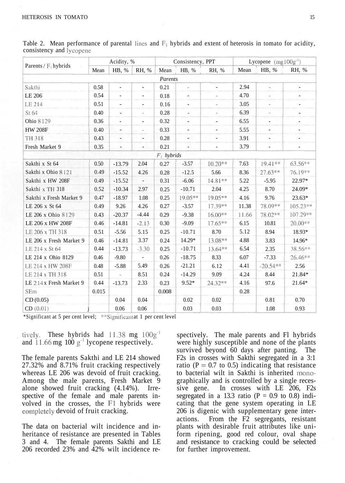|                         | Acidity, % |                          |                          | Consistency, PPT |                          |                          | Lycopene $(mgl00g^{-1})$ |                              |                          |
|-------------------------|------------|--------------------------|--------------------------|------------------|--------------------------|--------------------------|--------------------------|------------------------------|--------------------------|
| Parents / $F_1$ hybrids | Mean       | HB, %                    | RH, %                    | Mean             | HB, %                    | RH, %                    | Mean                     | HB, %                        | RH, %                    |
|                         |            |                          |                          | Parents          |                          |                          |                          |                              |                          |
| Sakthi                  | 0.58       | $\overline{\phantom{a}}$ | $\overline{\phantom{a}}$ | 0.21             | $\overline{\phantom{a}}$ | $\overline{\phantom{a}}$ | 2.94                     | $\sim$                       | $\overline{\phantom{a}}$ |
| LE 206                  | 0.54       | $\overline{\phantom{a}}$ | $\overline{\phantom{a}}$ | 0.18             | $\overline{\phantom{a}}$ | $\sim$                   | 4.70                     | $\sim$                       | ÷,                       |
| LE 214                  | 0.51       | $\blacksquare$           | $\overline{\phantom{a}}$ | 0.16             | ۰                        | $\sim$                   | 3.05                     | $\sim$                       | $\overline{\phantom{a}}$ |
| St 64                   | 0.40       | $\sim$                   | $\sim$                   | 0.28             | $\overline{\phantom{a}}$ | $\sim$                   | 6.39                     | $\sim$                       | $\overline{\phantom{a}}$ |
| Ohio 8129               | 0.36       | $\overline{\phantom{a}}$ | $\overline{\phantom{a}}$ | 0.32             | $\overline{\phantom{a}}$ | $\overline{\phantom{a}}$ | 6.55                     | $\overline{a}$               |                          |
| <b>HW 208F</b>          | 0.40       | $\overline{\phantom{a}}$ | $\overline{\phantom{a}}$ | 0.33             | $\overline{\phantom{a}}$ | $\overline{\phantom{a}}$ | 5.55                     | $\qquad \qquad -$            | $\overline{\phantom{a}}$ |
| TH 318                  | 0.43       | $\overline{\phantom{a}}$ | $\overline{\phantom{m}}$ | 0.28             | $\overline{\phantom{a}}$ | $\overline{\phantom{a}}$ | 3.91                     | $\qquad \qquad \blacksquare$ | $\overline{\phantom{a}}$ |
| Fresh Market 9          | 0.35       | $\overline{\phantom{a}}$ | $\overline{\phantom{a}}$ | 0.21             | $\overline{\phantom{a}}$ | $\overline{\phantom{a}}$ | 3.79                     | $\overline{\phantom{a}}$     | $\overline{\phantom{a}}$ |
|                         |            |                          |                          | $F_1$ hybrids    |                          |                          |                          |                              |                          |
| Sakthi x St 64          | 0.50       | $-13.79$                 | 2.04                     | 0.27             | $-3.57$                  | $10.20**$                | 7.63                     | $19.41**$                    | 63.56**                  |
| Sakthi x Ohio 8121      | 0.49       | $-15.52$                 | 4.26                     | 0.28             | $-12.5$                  | 5.66                     | 8.36                     | $27.63**$                    | 76.19**                  |
| Sakthi x HW 208F        | 0.49       | $-15.52$                 | $\overline{\phantom{a}}$ | 0.31             | $-6.06$                  | 14.81**                  | 5.22                     | $-5.95$                      | 22.97*                   |
| Sakthi x TH 318         | 0.52       | $-10.34$                 | 2.97                     | 0.25             | $-10.71$                 | 2.04                     | 4.25                     | 8.70                         | 24.09*                   |
| Sakthi x Fresh Market 9 | 0.47       | $-18.97$                 | 1.08                     | 0.25             | $19.05**$                | $19.05**$                | 4.16                     | 9.76                         | $23.63*$                 |
| LE 206 x St 64          | 0.49       | 9.26                     | 4.26                     | 0.27             | $-3.57$                  | $17.39**$                | 11.38                    | 78.09**                      | 105.23**                 |
| LE 206 x Ohio 8129      | 0.43       | $-20.37$                 | $-4.44$                  | 0.29             | $-9.38$                  | $16.00**$                | 11.66                    | 78.02**                      | 107.29**                 |
| LE 206 x HW 208F        | 0.46       | $-14.81$                 | $-2.13$                  | 0.30             | $-9.09$                  | $17.65***$               | 6.15                     | 10.81                        | 20.00**                  |
| LE 206 x TH 318         | 0.51       | $-5.56$                  | 5.15                     | 0.25             | $-10.71$                 | 8.70                     | 5.12                     | 8.94                         | 18.93*                   |
| LE 206 x Fresh Market 9 | 0.46       | $-14.81$                 | 3.37                     | 0.24             | 14.29*                   | 13.08**                  | 4.88                     | 3.83                         | 14.96*                   |
| LE 214 x St 64          | 0.44       | $-13.73$                 | $-3.30$                  | 0.25             | $-10.71$                 | $13.64***$               | 6.54                     | 2.35                         | 38.56**                  |
| LE 214 x Ohio 8129      | 0.46       | $-9.80$                  | ÷.                       | 0.26             | $-18.75$                 | 8.33                     | 6.07                     | $-7.33$                      | 26.46**                  |
| LE 214 x HW 208F        | 0.48       | $-5.88$                  | 5.49                     | 0.26             | $-21.21$                 | 6.12                     | 4.41                     | $-20.54**$                   | 2.56                     |
| LE 214 x TH 318         | 0.51       | $\sim$                   | 8.51                     | 0.24             | $-14.29$                 | 9.09                     | 4.24                     | 8.44                         | 21.84*                   |
| LE 214 x Fresh Market 9 | 0.44       | $-13.73$                 | 2.33                     | 0.23             | $9.52*$                  | 24.32 **                 | 4.16                     | 97.6                         | 21.64*                   |
| SEm                     | 0.015      |                          |                          | 0.008            |                          |                          | 0.28                     |                              |                          |
| CD(0.05)                |            | 0.04                     | 0.04                     |                  | 0.02                     | 0.02                     |                          | 0.81                         | 0.70                     |
| CD(0.01)                |            | 0.06                     | 0.06                     |                  | 0.03                     | 0.03                     |                          | 1.08                         | 0.93                     |

Table 2. Mean performance of parental lines and  $F_1$  hybrids and extent of heterosis in tomato for acidity, consistency and lycopene

\*Significant at 5 per cent level; \*\*Significant at 1 per cent level

tively. These hybrids had  $11.38$  mg  $100g^{-1}$ and 11.66 mg 100  $g^{-1}$  lycopene respectively.

The female parents Sakthi and LE 214 showed 27.32% and 8.71% fruit cracking respectively whereas LE 206 was devoid of fruit cracking. Among the male parents, Fresh Market 9 alone showed fruit cracking (4.14%). Irrespective of the female and male parents involved in the crosses, the Fl hybrids were completely devoid of fruit cracking.

The data on bacterial wilt incidence and inheritance of resistance are presented in Tables 3 and 4. The female parents Sakthi and LE 206 recorded 23% and 42% wilt incidence re-

spectively. The male parents and Fl hybrids were highly susceptible and none of the plants survived beyond 60 days after panting. The F2s in crosses with Sakthi segregated in a 3:1 ratio ( $P = 0.7$  to 0.5) indicating that resistance to bacterial wilt in Sakthi is inherited monographically and is controlled by a single recessive gene. In crosses with LE 206, F2s segregated in a 13.3 ratio ( $P = 0.9$  to 0.8) indicating that the gene system operating in LE 206 is digenic with supplementary gene interactions. From the F2 segregants, resistant plants with desirable fruit attributes like uniform ripening, good red colour, oval shape and resistance to cracking could be selected for further improvement.